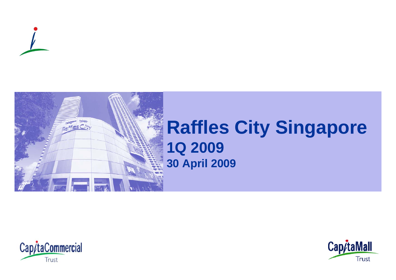



# **Raffles City Singapore**



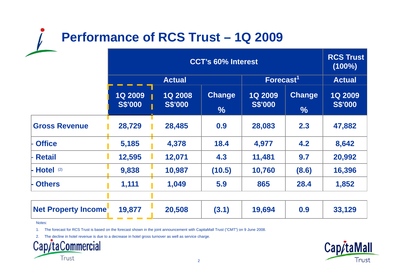## **Performance of RCS Trust – 1Q 2009**

|                            | <b>CCT's 60% Interest</b>        |                                  |                                |                                  |                                | <b>RCS Trust</b><br>$(100\%)$    |
|----------------------------|----------------------------------|----------------------------------|--------------------------------|----------------------------------|--------------------------------|----------------------------------|
|                            | <b>Actual</b>                    |                                  | $\textsf{Forecast}^1$          |                                  | <b>Actual</b>                  |                                  |
|                            | <b>1Q 2009</b><br><b>S\$'000</b> | <b>1Q 2008</b><br><b>S\$'000</b> | <b>Change</b><br>$\frac{9}{6}$ | <b>1Q 2009</b><br><b>S\$'000</b> | <b>Change</b><br>$\frac{1}{2}$ | <b>1Q 2009</b><br><b>S\$'000</b> |
| <b>Gross Revenue</b>       | 28,729                           | 28,485                           | 0.9                            | 28,083                           | 2.3                            | 47,882                           |
| <b>Office</b>              | 5,185                            | 4,378                            | 18.4                           | 4,977                            | 4.2                            | 8,642                            |
| <b>Retail</b>              | 12,595                           | 12,071                           | 4.3                            | 11,481                           | 9.7                            | 20,992                           |
| Hotel <sup>(2)</sup>       | 9,838                            | 10,987                           | (10.5)                         | 10,760                           | (8.6)                          | 16,396                           |
| <b>Others</b>              | 1,111                            | 1,049                            | 5.9                            | 865                              | 28.4                           | 1,852                            |
| <b>Net Property Income</b> | 19,877                           | 20,508                           | (3.1)                          | 19,694                           | 0.9                            | 33,129                           |

Notes:

1. The forecast for RCS Trust is based on the forecast shown in the joint announcement with CapitaMall Trust ("CMT") on 9 June 2008.

2. The decline in hotel revenue is due to a decrease in hotel gross turnover as well as service charge.



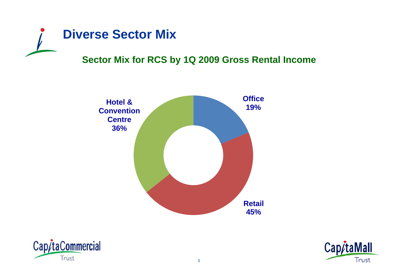

## **Sector Mix for RCS by 1Q 2009 Gross Rental Income**





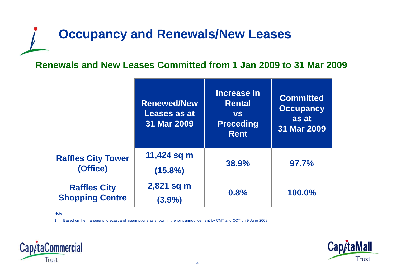## **Occupancy and Renewals/New Leases**

## **Renewals and New Leases Committed from 1 Jan 2009 to 31 Mar 2009**

|                                               | <b>Renewed/New</b><br>Leases as at<br>31 Mar 2009 | Increase in<br><b>Rental</b><br><b>VS</b><br><b>Preceding</b><br><b>Rent</b> | <b>Committed</b><br><b>Occupancy</b><br>as at<br>31 Mar 2009 |
|-----------------------------------------------|---------------------------------------------------|------------------------------------------------------------------------------|--------------------------------------------------------------|
| <b>Raffles City Tower</b><br>(Office)         | 11,424 sq m<br>$(15.8\%)$                         | 38.9%                                                                        | 97.7%                                                        |
| <b>Raffles City</b><br><b>Shopping Centre</b> | 2,821 sq m<br>$(3.9\%)$                           | 0.8%                                                                         | 100.0%                                                       |

Note:

1. Based on the manager's forecast and assumptions as shown in the joint announcement by CMT and CCT on 9 June 2008.



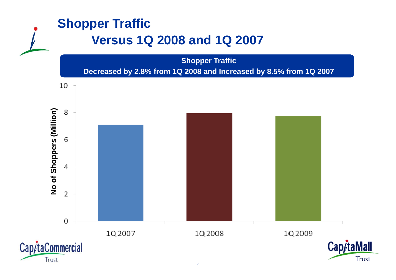## **Shopper Traffic Ve sus Q 008 a d Q 00 rsus 1Q 2008 and 1Q 2007 Shopper Traffic Decreased by 2.8% from 1Q 2008 and Increased by 8.5% from 1Q 2007**  10 **s (Million)** 8 6 **Shopper** 4 **No of**   $\overline{2}$ 0 1Q2008 1Q2009

1Q2007



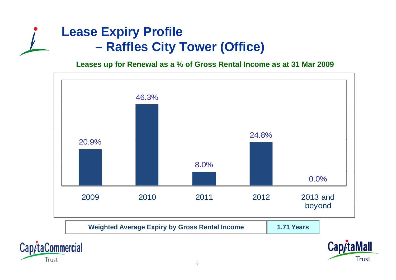## **Lease Expiry Profile –Raffles City Tower (Office)**

**Leases up for Renewal as a % of Gross Rental Income as at 31 Mar 2009**





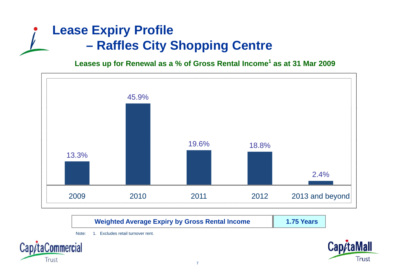## **Lease Expiry Profile –Raffles City Shopping Centre**

**Leases up for Renewal as a % of Gross Rental Income<sup>1</sup> as at 31 Mar 2009**



**Weighted Average Expiry by Gross Rental Income 1.75 Years**





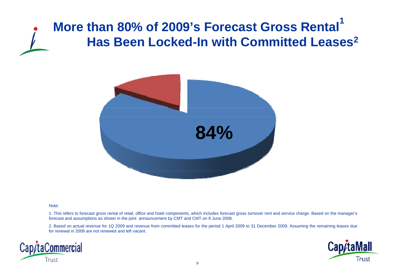## **More than 80% of 2009's Forecast Gross Rental 1 Has Been Locked-In with Committed Leases <sup>2</sup> In**



#### Note:

1. This refers to forecast gross rental of retail, office and hotel components, which includes forecast gross turnover rent and service charge. Based on the manager's forecast and assumptions as shown in the joint announcement by CMT and CMT on 9 June 2008.

2. Based on actual revenue for 1Q 2009 and revenue from committed leases for the period 1 April 2009 to 31 December 2009. Assuming the remaining leases due for renewal in 2009 are not renewed and left vacant.



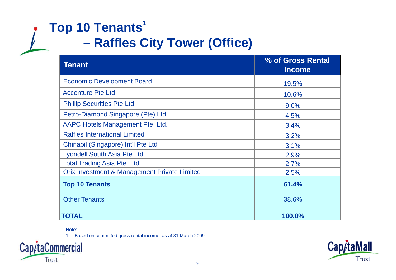## **Top 10 Tenants<sup>1</sup> –Raffles City Tower (Office)**

| <b>Tenant</b>                                           | % of Gross Rental<br><b>Income</b> |
|---------------------------------------------------------|------------------------------------|
| <b>Economic Development Board</b>                       | 19.5%                              |
| <b>Accenture Pte Ltd</b>                                | 10.6%                              |
| <b>Phillip Securities Pte Ltd</b>                       | 9.0%                               |
| Petro-Diamond Singapore (Pte) Ltd                       | 4.5%                               |
| AAPC Hotels Management Pte. Ltd.                        | 3.4%                               |
| <b>Raffles International Limited</b>                    | 3.2%                               |
| Chinaoil (Singapore) Int'l Pte Ltd                      | 3.1%                               |
| <b>Lyondell South Asia Pte Ltd</b>                      | 2.9%                               |
| <b>Total Trading Asia Pte. Ltd.</b>                     | 2.7%                               |
| <b>Orix Investment &amp; Management Private Limited</b> | 2.5%                               |
| <b>Top 10 Tenants</b>                                   | 61.4%                              |
| <b>Other Tenants</b>                                    | 38.6%                              |
| <b>TOTAL</b>                                            | 100.0%                             |

Note:

1. Based on committed gross rental income as at 31 March 2009.



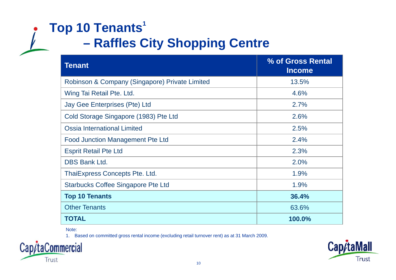## **Top 10 Tenants<sup>1</sup> Raffles City Shopping Centre**

| <b>Tenant</b>                                  | % of Gross Rental<br><b>Income</b> |
|------------------------------------------------|------------------------------------|
| Robinson & Company (Singapore) Private Limited | 13.5%                              |
| Wing Tai Retail Pte. Ltd.                      | 4.6%                               |
| Jay Gee Enterprises (Pte) Ltd                  | 2.7%                               |
| Cold Storage Singapore (1983) Pte Ltd          | 2.6%                               |
| <b>Ossia International Limited</b>             | 2.5%                               |
| <b>Food Junction Management Pte Ltd</b>        | 2.4%                               |
| <b>Esprit Retail Pte Ltd</b>                   | 2.3%                               |
| <b>DBS Bank Ltd.</b>                           | 2.0%                               |
| ThaiExpress Concepts Pte. Ltd.                 | 1.9%                               |
| <b>Starbucks Coffee Singapore Pte Ltd</b>      | 1.9%                               |
| <b>Top 10 Tenants</b>                          | 36.4%                              |
| <b>Other Tenants</b>                           | 63.6%                              |
| <b>TOTAL</b>                                   | 100.0%                             |

Note:

1. Based on committed gross rental income (excluding retail turnover rent) as at 31 March 2009.



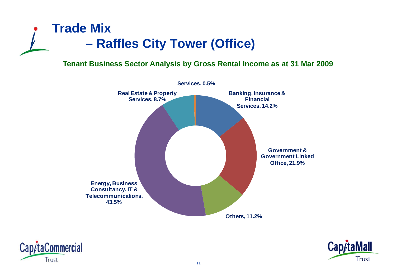

### **Tenant Business Sector Analysis by Gross Rental Income as at 31 Mar 2009**





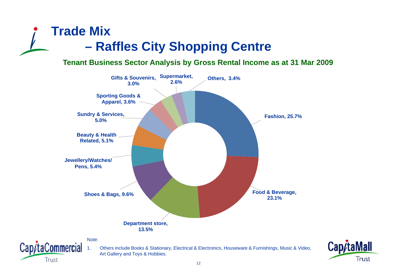## **Trade Mix –Raffles City Shopping Centre**

## **Tenant Business Sector Analysis by Gross Rental Income as at 31 Mar 2009**



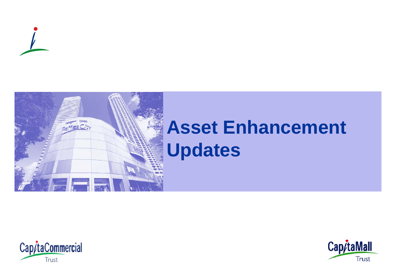





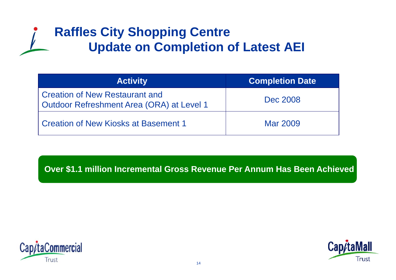## **Raffles City Shopping Centre Update on Completion of Latest AEI**

| <b>Activity</b>                                                                    | <b>Completion Date</b> |  |
|------------------------------------------------------------------------------------|------------------------|--|
| <b>Creation of New Restaurant and</b><br>Outdoor Refreshment Area (ORA) at Level 1 | Dec 2008               |  |
| Creation of New Kiosks at Basement 1                                               | Mar 2009               |  |

Over \$1.1 million Incremental Gross Revenue Per Annum Has Been Achieved



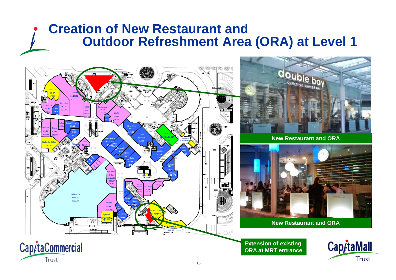## **Creation of New Restaurant and Outdoor Refreshment Area (ORA) at Level 1 Level**



Cap/taCommercial

Trust



**New Restaurant and ORA Restaurant**



**New Restaurant and ORA**

**Extension of existing ORA at MRT entrance** 



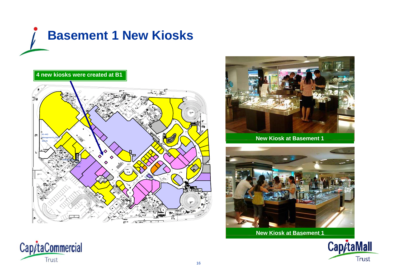





**New Kiosk at Basement 1**



**New Kiosk at Basement 1**